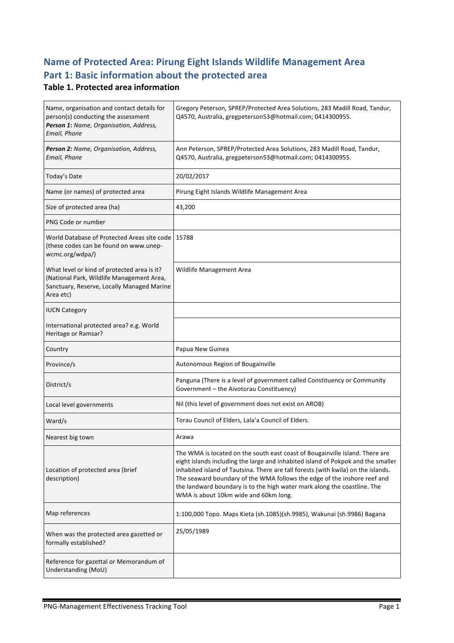# **Name of Protected Area: Pirung Eight Islands Wildlife Management Area** Part 1: Basic information about the protected area

#### **Table 1. Protected area information**

| Name, organisation and contact details for<br>person(s) conducting the assessment<br>Person 1: Name, Organisation, Address,<br>Email, Phone         | Gregory Peterson, SPREP/Protected Area Solutions, 283 Madill Road, Tandur,<br>Q4570, Australia, gregpeterson53@hotmail.com; 0414300955.                                                                                                                                                                                                                                                                                                                |
|-----------------------------------------------------------------------------------------------------------------------------------------------------|--------------------------------------------------------------------------------------------------------------------------------------------------------------------------------------------------------------------------------------------------------------------------------------------------------------------------------------------------------------------------------------------------------------------------------------------------------|
| Person 2: Name, Organisation, Address,<br>Email, Phone                                                                                              | Ann Peterson, SPREP/Protected Area Solutions, 283 Madill Road, Tandur,<br>Q4570, Australia, gregpeterson53@hotmail.com; 0414300955.                                                                                                                                                                                                                                                                                                                    |
| Today's Date                                                                                                                                        | 20/02/2017                                                                                                                                                                                                                                                                                                                                                                                                                                             |
| Name (or names) of protected area                                                                                                                   | Pirung Eight Islands Wildlife Management Area                                                                                                                                                                                                                                                                                                                                                                                                          |
| Size of protected area (ha)                                                                                                                         | 43,200                                                                                                                                                                                                                                                                                                                                                                                                                                                 |
| PNG Code or number                                                                                                                                  |                                                                                                                                                                                                                                                                                                                                                                                                                                                        |
| World Database of Protected Areas site code<br>(these codes can be found on www.unep-<br>wcmc.org/wdpa/)                                            | 15788                                                                                                                                                                                                                                                                                                                                                                                                                                                  |
| What level or kind of protected area is it?<br>(National Park, Wildlife Management Area,<br>Sanctuary, Reserve, Locally Managed Marine<br>Area etc) | Wildlife Management Area                                                                                                                                                                                                                                                                                                                                                                                                                               |
| <b>IUCN Category</b>                                                                                                                                |                                                                                                                                                                                                                                                                                                                                                                                                                                                        |
| International protected area? e.g. World<br>Heritage or Ramsar?                                                                                     |                                                                                                                                                                                                                                                                                                                                                                                                                                                        |
| Country                                                                                                                                             | Papua New Guinea                                                                                                                                                                                                                                                                                                                                                                                                                                       |
| Province/s                                                                                                                                          | Autonomous Region of Bougainville                                                                                                                                                                                                                                                                                                                                                                                                                      |
| District/s                                                                                                                                          | Panguna (There is a level of government called Constituency or Community<br>Government - the Aivotorau Constituency)                                                                                                                                                                                                                                                                                                                                   |
| Local level governments                                                                                                                             | Nil (this level of government does not exist on AROB)                                                                                                                                                                                                                                                                                                                                                                                                  |
| Ward/s                                                                                                                                              | Torau Council of Elders, Lala'a Council of Elders.                                                                                                                                                                                                                                                                                                                                                                                                     |
| Nearest big town                                                                                                                                    | Arawa                                                                                                                                                                                                                                                                                                                                                                                                                                                  |
| Location of protected area (brief<br>description)                                                                                                   | The WMA is located on the south east coast of Bougainville Island. There are<br>eight islands including the large and inhabited island of Pokpok and the smaller<br>inhabited island of Tautsina. There are tall forests (with kwila) on the islands.<br>The seaward boundary of the WMA follows the edge of the inshore reef and<br>the landward boundary is to the high water mark along the coastline. The<br>WMA is about 10km wide and 60km long. |
| Map references                                                                                                                                      | 1:100,000 Topo. Maps Kieta (sh.1085)(sh.9985), Wakunai (sh.9986) Bagana                                                                                                                                                                                                                                                                                                                                                                                |
| When was the protected area gazetted or<br>formally established?                                                                                    | 25/05/1989                                                                                                                                                                                                                                                                                                                                                                                                                                             |
| Reference for gazettal or Memorandum of<br>Understanding (MoU)                                                                                      |                                                                                                                                                                                                                                                                                                                                                                                                                                                        |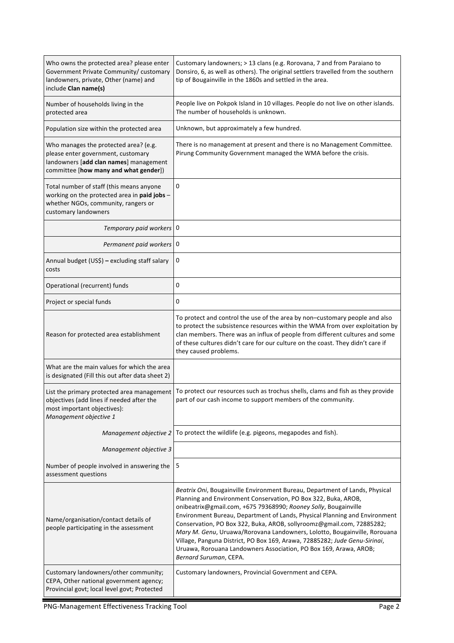| Who owns the protected area? please enter<br>Government Private Community/ customary<br>landowners, private, Other (name) and<br>include Clan name(s)          | Customary landowners; > 13 clans (e.g. Rorovana, 7 and from Paraiano to<br>Donsiro, 6, as well as others). The original settlers travelled from the southern<br>tip of Bougainville in the 1860s and settled in the area.                                                                                                                                                                                                                                                                                                                                                                                                         |  |
|----------------------------------------------------------------------------------------------------------------------------------------------------------------|-----------------------------------------------------------------------------------------------------------------------------------------------------------------------------------------------------------------------------------------------------------------------------------------------------------------------------------------------------------------------------------------------------------------------------------------------------------------------------------------------------------------------------------------------------------------------------------------------------------------------------------|--|
| Number of households living in the<br>protected area                                                                                                           | People live on Pokpok Island in 10 villages. People do not live on other islands.<br>The number of households is unknown.                                                                                                                                                                                                                                                                                                                                                                                                                                                                                                         |  |
| Population size within the protected area                                                                                                                      | Unknown, but approximately a few hundred.                                                                                                                                                                                                                                                                                                                                                                                                                                                                                                                                                                                         |  |
| Who manages the protected area? (e.g.<br>please enter government, customary<br>landowners [add clan names] management<br>committee [how many and what gender]) | There is no management at present and there is no Management Committee.<br>Pirung Community Government managed the WMA before the crisis.                                                                                                                                                                                                                                                                                                                                                                                                                                                                                         |  |
| Total number of staff (this means anyone<br>working on the protected area in paid jobs -<br>whether NGOs, community, rangers or<br>customary landowners        | 0                                                                                                                                                                                                                                                                                                                                                                                                                                                                                                                                                                                                                                 |  |
| Temporary paid workers   0                                                                                                                                     |                                                                                                                                                                                                                                                                                                                                                                                                                                                                                                                                                                                                                                   |  |
| Permanent paid workers   0                                                                                                                                     |                                                                                                                                                                                                                                                                                                                                                                                                                                                                                                                                                                                                                                   |  |
| Annual budget (US\$) - excluding staff salary<br>costs                                                                                                         | 0                                                                                                                                                                                                                                                                                                                                                                                                                                                                                                                                                                                                                                 |  |
| Operational (recurrent) funds                                                                                                                                  | 0                                                                                                                                                                                                                                                                                                                                                                                                                                                                                                                                                                                                                                 |  |
| Project or special funds                                                                                                                                       | 0                                                                                                                                                                                                                                                                                                                                                                                                                                                                                                                                                                                                                                 |  |
| Reason for protected area establishment                                                                                                                        | To protect and control the use of the area by non-customary people and also<br>to protect the subsistence resources within the WMA from over exploitation by<br>clan members. There was an influx of people from different cultures and some<br>of these cultures didn't care for our culture on the coast. They didn't care if<br>they caused problems.                                                                                                                                                                                                                                                                          |  |
| What are the main values for which the area<br>is designated (Fill this out after data sheet 2)                                                                |                                                                                                                                                                                                                                                                                                                                                                                                                                                                                                                                                                                                                                   |  |
| List the primary protected area management<br>objectives (add lines if needed after the<br>most important objectives):<br>Management objective 1               | To protect our resources such as trochus shells, clams and fish as they provide<br>part of our cash income to support members of the community.                                                                                                                                                                                                                                                                                                                                                                                                                                                                                   |  |
| Management objective 2                                                                                                                                         | To protect the wildlife (e.g. pigeons, megapodes and fish).                                                                                                                                                                                                                                                                                                                                                                                                                                                                                                                                                                       |  |
| Management objective 3                                                                                                                                         |                                                                                                                                                                                                                                                                                                                                                                                                                                                                                                                                                                                                                                   |  |
| Number of people involved in answering the<br>assessment questions                                                                                             | 5                                                                                                                                                                                                                                                                                                                                                                                                                                                                                                                                                                                                                                 |  |
| Name/organisation/contact details of<br>people participating in the assessment                                                                                 | Beatrix Oni, Bougainville Environment Bureau, Department of Lands, Physical<br>Planning and Environment Conservation, PO Box 322, Buka, AROB,<br>onibeatrix@gmail.com, +675 79368990; Rooney Solly, Bougainville<br>Environment Bureau, Department of Lands, Physical Planning and Environment<br>Conservation, PO Box 322, Buka, AROB, sollyroomz@gmail.com, 72885282;<br>Mary M. Genu, Uruawa/Rorovana Landowners, Lolotto, Bougainville, Rorouana<br>Village, Panguna District, PO Box 169, Arawa, 72885282; Jude Genu-Sirinai,<br>Uruawa, Rorouana Landowners Association, PO Box 169, Arawa, AROB;<br>Bernard Suruman, CEPA. |  |
| Customary landowners/other community;<br>CEPA, Other national government agency;<br>Provincial govt; local level govt; Protected                               | Customary landowners, Provincial Government and CEPA.                                                                                                                                                                                                                                                                                                                                                                                                                                                                                                                                                                             |  |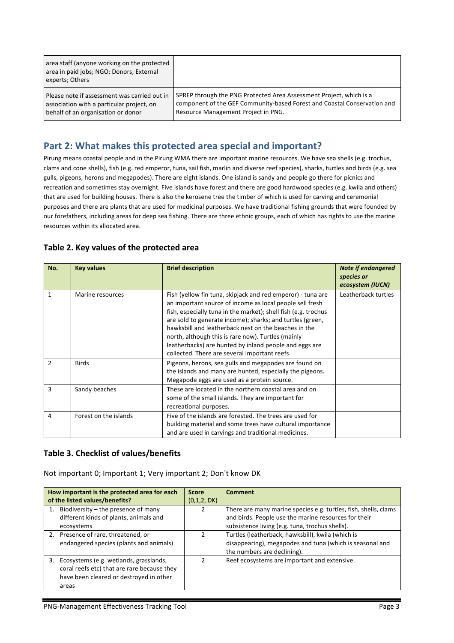| area staff (anyone working on the protected<br>area in paid jobs; NGO; Donors; External<br>experts; Others |                                                                          |
|------------------------------------------------------------------------------------------------------------|--------------------------------------------------------------------------|
| Please note if assessment was carried out in                                                               | SPREP through the PNG Protected Area Assessment Project, which is a      |
| association with a particular project, on                                                                  | component of the GEF Community-based Forest and Coastal Conservation and |
| behalf of an organisation or donor                                                                         | Resource Management Project in PNG.                                      |

### Part 2: What makes this protected area special and important?

Pirung means coastal people and in the Pirung WMA there are important marine resources. We have sea shells (e.g. trochus, clams and cone shells), fish (e.g. red emperor, tuna, sail fish, marlin and diverse reef species), sharks, turtles and birds (e.g. sea gulls, pigeons, herons and megapodes). There are eight islands. One island is sandy and people go there for picnics and recreation and sometimes stay overnight. Five islands have forest and there are good hardwood species (e.g. kwila and others) that are used for building houses. There is also the kerosene tree the timber of which is used for carving and ceremonial purposes and there are plants that are used for medicinal purposes. We have traditional fishing grounds that were founded by our forefathers, including areas for deep sea fishing. There are three ethnic groups, each of which has rights to use the marine resources within its allocated area.

#### Table 2. Key values of the protected area

| No.           | <b>Key values</b>     | <b>Brief description</b>                                                                                                                                                                                                                                                                                                                                                                                                                                                        | <b>Note if endangered</b><br>species or<br>ecosystem (IUCN) |
|---------------|-----------------------|---------------------------------------------------------------------------------------------------------------------------------------------------------------------------------------------------------------------------------------------------------------------------------------------------------------------------------------------------------------------------------------------------------------------------------------------------------------------------------|-------------------------------------------------------------|
| 1             | Marine resources      | Fish (yellow fin tuna, skipjack and red emperor) - tuna are<br>an important source of income as local people sell fresh<br>fish, especially tuna in the market); shell fish (e.g. trochus<br>are sold to generate income); sharks; and turtles (green,<br>hawksbill and leatherback nest on the beaches in the<br>north, although this is rare now). Turtles (mainly<br>leatherbacks) are hunted by inland people and eggs are<br>collected. There are several important reefs. | Leatherback turtles                                         |
| $\mathcal{P}$ | <b>Birds</b>          | Pigeons, herons, sea gulls and megapodes are found on<br>the islands and many are hunted, especially the pigeons.<br>Megapode eggs are used as a protein source.                                                                                                                                                                                                                                                                                                                |                                                             |
| 3             | Sandy beaches         | These are located in the northern coastal area and on<br>some of the small islands. They are important for<br>recreational purposes.                                                                                                                                                                                                                                                                                                                                            |                                                             |
| 4             | Forest on the islands | Five of the islands are forested. The trees are used for<br>building material and some trees have cultural importance<br>and are used in carvings and traditional medicines.                                                                                                                                                                                                                                                                                                    |                                                             |

#### Table 3. Checklist of values/benefits

Not important 0; Important 1; Very important 2; Don't know DK

| How important is the protected area for each | <b>Score</b> | <b>Comment</b>                                                  |
|----------------------------------------------|--------------|-----------------------------------------------------------------|
| of the listed values/benefits?               | (0,1,2, DK)  |                                                                 |
| 1. Biodiversity $-$ the presence of many     |              | There are many marine species e.g. turtles, fish, shells, clams |
| different kinds of plants, animals and       |              | and birds. People use the marine resources for their            |
| ecosystems                                   |              | subsistence living (e.g. tuna, trochus shells).                 |
| 2. Presence of rare, threatened, or          |              | Turtles (leatherback, hawksbill), kwila (which is               |
| endangered species (plants and animals)      |              | disappearing), megapodes and tuna (which is seasonal and        |
|                                              |              | the numbers are declining).                                     |
| 3. Ecosystems (e.g. wetlands, grasslands,    |              | Reef ecosystems are important and extensive.                    |
| coral reefs etc) that are rare because they  |              |                                                                 |
| have been cleared or destroyed in other      |              |                                                                 |
| areas                                        |              |                                                                 |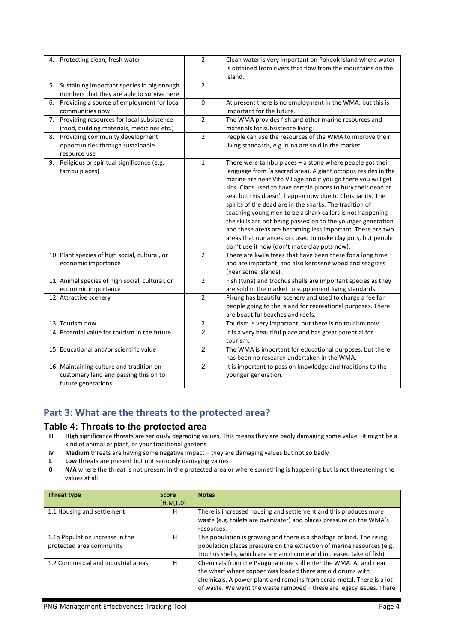| 4. Protecting clean, fresh water                                                                        | $\overline{2}$ | Clean water is very important on Pokpok Island where water<br>is obtained from rivers that flow from the mountains on the<br>island.                                                                                                                                                                                                                                                                                                                                                                                                                                                                                                                                                            |  |  |
|---------------------------------------------------------------------------------------------------------|----------------|-------------------------------------------------------------------------------------------------------------------------------------------------------------------------------------------------------------------------------------------------------------------------------------------------------------------------------------------------------------------------------------------------------------------------------------------------------------------------------------------------------------------------------------------------------------------------------------------------------------------------------------------------------------------------------------------------|--|--|
| 5. Sustaining important species in big enough<br>numbers that they are able to survive here             | $\overline{2}$ |                                                                                                                                                                                                                                                                                                                                                                                                                                                                                                                                                                                                                                                                                                 |  |  |
| 6. Providing a source of employment for local<br>communities now                                        | $\pmb{0}$      | At present there is no employment in the WMA, but this is<br>important for the future.                                                                                                                                                                                                                                                                                                                                                                                                                                                                                                                                                                                                          |  |  |
| 7. Providing resources for local subsistence<br>(food, building materials, medicines etc.)              | $\overline{2}$ | The WMA provides fish and other marine resources and<br>materials for subsistence living.                                                                                                                                                                                                                                                                                                                                                                                                                                                                                                                                                                                                       |  |  |
| 8. Providing community development<br>opportunities through sustainable<br>resource use                 | $\overline{2}$ | People can use the resources of the WMA to improve their<br>living standards, e.g. tuna are sold in the market                                                                                                                                                                                                                                                                                                                                                                                                                                                                                                                                                                                  |  |  |
| 9. Religious or spiritual significance (e.g.<br>tambu places)                                           | $\mathbf{1}$   | There were tambu places - a stone where people got their<br>language from (a sacred area). A giant octopus resides in the<br>marine are near Vito Village and if you go there you will get<br>sick. Clans used to have certain places to bury their dead at<br>sea, but this doesn't happen now due to Christianity. The<br>spirits of the dead are in the sharks. The tradition of<br>teaching young men to be a shark callers is not happening -<br>the skills are not being passed on to the younger generation<br>and these areas are becoming less important. There are two<br>areas that our ancestors used to make clay pots, but people<br>don't use it now (don't make clay pots now). |  |  |
| 10. Plant species of high social, cultural, or<br>economic importance                                   | $\overline{2}$ | There are kwila trees that have been there for a long time<br>and are important, and also kerosene wood and seagrass<br>(near some islands).                                                                                                                                                                                                                                                                                                                                                                                                                                                                                                                                                    |  |  |
| 11. Animal species of high social, cultural, or<br>economic importance                                  | $\overline{2}$ | Fish (tuna) and trochus shells are important species as they<br>are sold in the market to supplement living standards.                                                                                                                                                                                                                                                                                                                                                                                                                                                                                                                                                                          |  |  |
| 12. Attractive scenery                                                                                  | $\overline{2}$ | Pirung has beautiful scenery and used to charge a fee for<br>people going to the island for recreational purposes. There<br>are beautiful beaches and reefs.                                                                                                                                                                                                                                                                                                                                                                                                                                                                                                                                    |  |  |
| 13. Tourism now                                                                                         | $\overline{2}$ | Tourism is very important, but there is no tourism now.                                                                                                                                                                                                                                                                                                                                                                                                                                                                                                                                                                                                                                         |  |  |
| 14. Potential value for tourism in the future                                                           | $\overline{2}$ | It is a very beautiful place and has great potential for<br>tourism.                                                                                                                                                                                                                                                                                                                                                                                                                                                                                                                                                                                                                            |  |  |
| 15. Educational and/or scientific value                                                                 | $\overline{2}$ | The WMA is important for educational purposes, but there<br>has been no research undertaken in the WMA.                                                                                                                                                                                                                                                                                                                                                                                                                                                                                                                                                                                         |  |  |
| 16. Maintaining culture and tradition on<br>customary land and passing this on to<br>future generations | $\overline{2}$ | It is important to pass on knowledge and traditions to the<br>younger generation.                                                                                                                                                                                                                                                                                                                                                                                                                                                                                                                                                                                                               |  |  |

### Part 3: What are the threats to the protected area?

#### **Table 4: Threats to the protected area**

- **H High** significance threats are seriously degrading values. This means they are badly damaging some value –it might be a kind of animal or plant, or your traditional gardens
- **M** Medium threats are having some negative impact they are damaging values but not so badly
- **L** Low threats are present but not seriously damaging values
- **0 N/A** where the threat is not present in the protected area or where something is happening but is not threatening the values at all

| Threat type                         | <b>Score</b> | <b>Notes</b>                                                           |
|-------------------------------------|--------------|------------------------------------------------------------------------|
|                                     | (H, M, L, 0) |                                                                        |
| 1.1 Housing and settlement          | н            | There is increased housing and settlement and this produces more       |
|                                     |              | waste (e.g. toilets are overwater) and places pressure on the WMA's    |
|                                     |              | resources.                                                             |
| 1.1a Population increase in the     | н            | The population is growing and there is a shortage of land. The rising  |
| protected area community            |              | population places pressure on the extraction of marine resources (e.g. |
|                                     |              | trochus shells, which are a main income and increased take of fish).   |
| 1.2 Commercial and industrial areas | н            | Chemicals from the Panguna mine still enter the WMA. At and near       |
|                                     |              | the wharf where copper was loaded there are old drums with             |
|                                     |              | chemicals. A power plant and remains from scrap metal. There is a lot  |
|                                     |              | of waste. We want the waste removed - these are legacy issues. There   |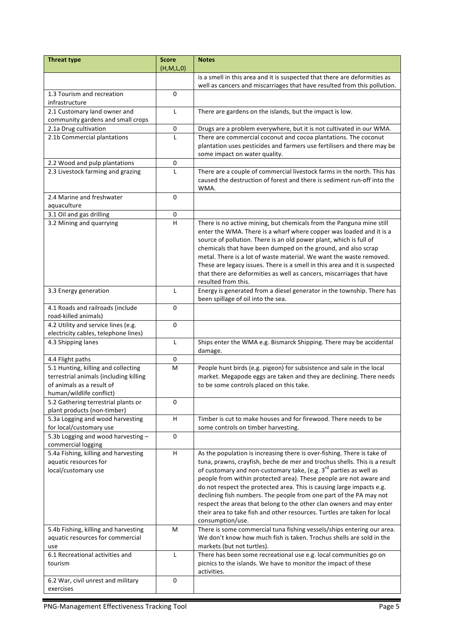| <b>Threat type</b>                                                                                                                     | <b>Score</b> | <b>Notes</b>                                                                                                                                                                                                                                                                                                                                                                                                                                                                                                                                                                                                                       |  |  |
|----------------------------------------------------------------------------------------------------------------------------------------|--------------|------------------------------------------------------------------------------------------------------------------------------------------------------------------------------------------------------------------------------------------------------------------------------------------------------------------------------------------------------------------------------------------------------------------------------------------------------------------------------------------------------------------------------------------------------------------------------------------------------------------------------------|--|--|
|                                                                                                                                        | (H,M,L,0)    |                                                                                                                                                                                                                                                                                                                                                                                                                                                                                                                                                                                                                                    |  |  |
|                                                                                                                                        |              | is a smell in this area and it is suspected that there are deformities as<br>well as cancers and miscarriages that have resulted from this pollution.                                                                                                                                                                                                                                                                                                                                                                                                                                                                              |  |  |
| 1.3 Tourism and recreation                                                                                                             | 0            |                                                                                                                                                                                                                                                                                                                                                                                                                                                                                                                                                                                                                                    |  |  |
| infrastructure                                                                                                                         |              |                                                                                                                                                                                                                                                                                                                                                                                                                                                                                                                                                                                                                                    |  |  |
| 2.1 Customary land owner and                                                                                                           | L            | There are gardens on the islands, but the impact is low.                                                                                                                                                                                                                                                                                                                                                                                                                                                                                                                                                                           |  |  |
| community gardens and small crops                                                                                                      |              |                                                                                                                                                                                                                                                                                                                                                                                                                                                                                                                                                                                                                                    |  |  |
| 2.1a Drug cultivation                                                                                                                  | 0            | Drugs are a problem everywhere, but it is not cultivated in our WMA.                                                                                                                                                                                                                                                                                                                                                                                                                                                                                                                                                               |  |  |
| 2.1b Commercial plantations                                                                                                            | $\mathsf{L}$ | There are commercial coconut and cocoa plantations. The coconut                                                                                                                                                                                                                                                                                                                                                                                                                                                                                                                                                                    |  |  |
|                                                                                                                                        |              | plantation uses pesticides and farmers use fertilisers and there may be<br>some impact on water quality.                                                                                                                                                                                                                                                                                                                                                                                                                                                                                                                           |  |  |
| 2.2 Wood and pulp plantations                                                                                                          | 0            |                                                                                                                                                                                                                                                                                                                                                                                                                                                                                                                                                                                                                                    |  |  |
| 2.3 Livestock farming and grazing                                                                                                      | $\mathbf{L}$ | There are a couple of commercial livestock farms in the north. This has<br>caused the destruction of forest and there is sediment run-off into the<br>WMA.                                                                                                                                                                                                                                                                                                                                                                                                                                                                         |  |  |
| 2.4 Marine and freshwater<br>aquaculture                                                                                               | $\mathbf 0$  |                                                                                                                                                                                                                                                                                                                                                                                                                                                                                                                                                                                                                                    |  |  |
| 3.1 Oil and gas drilling                                                                                                               | 0            |                                                                                                                                                                                                                                                                                                                                                                                                                                                                                                                                                                                                                                    |  |  |
| 3.2 Mining and quarrying                                                                                                               | н            | There is no active mining, but chemicals from the Panguna mine still<br>enter the WMA. There is a wharf where copper was loaded and it is a<br>source of pollution. There is an old power plant, which is full of<br>chemicals that have been dumped on the ground, and also scrap<br>metal. There is a lot of waste material. We want the waste removed.<br>These are legacy issues. There is a smell in this area and it is suspected<br>that there are deformities as well as cancers, miscarriages that have<br>resulted from this.                                                                                            |  |  |
| 3.3 Energy generation                                                                                                                  | L            | Energy is generated from a diesel generator in the township. There has<br>been spillage of oil into the sea.                                                                                                                                                                                                                                                                                                                                                                                                                                                                                                                       |  |  |
| 4.1 Roads and railroads (include<br>road-killed animals)                                                                               | $\mathbf 0$  |                                                                                                                                                                                                                                                                                                                                                                                                                                                                                                                                                                                                                                    |  |  |
| 4.2 Utility and service lines (e.g.<br>electricity cables, telephone lines)                                                            | 0            |                                                                                                                                                                                                                                                                                                                                                                                                                                                                                                                                                                                                                                    |  |  |
| 4.3 Shipping lanes                                                                                                                     | L            | Ships enter the WMA e.g. Bismarck Shipping. There may be accidental<br>damage.                                                                                                                                                                                                                                                                                                                                                                                                                                                                                                                                                     |  |  |
| 4.4 Flight paths                                                                                                                       | 0            |                                                                                                                                                                                                                                                                                                                                                                                                                                                                                                                                                                                                                                    |  |  |
| 5.1 Hunting, killing and collecting<br>terrestrial animals (including killing<br>of animals as a result of<br>human/wildlife conflict) | M            | People hunt birds (e.g. pigeon) for subsistence and sale in the local<br>market. Megapode eggs are taken and they are declining. There needs<br>to be some controls placed on this take.                                                                                                                                                                                                                                                                                                                                                                                                                                           |  |  |
| 5.2 Gathering terrestrial plants or<br>plant products (non-timber)                                                                     | 0            |                                                                                                                                                                                                                                                                                                                                                                                                                                                                                                                                                                                                                                    |  |  |
| 5.3a Logging and wood harvesting<br>for local/customary use                                                                            | $\sf H$      | Timber is cut to make houses and for firewood. There needs to be<br>some controls on timber harvesting.                                                                                                                                                                                                                                                                                                                                                                                                                                                                                                                            |  |  |
| 5.3b Logging and wood harvesting -<br>commercial logging                                                                               | $\mathbf 0$  |                                                                                                                                                                                                                                                                                                                                                                                                                                                                                                                                                                                                                                    |  |  |
| 5.4a Fishing, killing and harvesting<br>aquatic resources for<br>local/customary use                                                   | H            | As the population is increasing there is over-fishing. There is take of<br>tuna, prawns, crayfish, beche de mer and trochus shells. This is a result<br>of customary and non-customary take, (e.g. 3 <sup>rd</sup> parties as well as<br>people from within protected area). These people are not aware and<br>do not respect the protected area. This is causing large impacts e.g.<br>declining fish numbers. The people from one part of the PA may not<br>respect the areas that belong to the other clan owners and may enter<br>their area to take fish and other resources. Turtles are taken for local<br>consumption/use. |  |  |
| 5.4b Fishing, killing and harvesting<br>aquatic resources for commercial<br>use                                                        | M            | There is some commercial tuna fishing vessels/ships entering our area.<br>We don't know how much fish is taken. Trochus shells are sold in the<br>markets (but not turtles).                                                                                                                                                                                                                                                                                                                                                                                                                                                       |  |  |
| 6.1 Recreational activities and<br>tourism                                                                                             | L            | There has been some recreational use e.g. local communities go on<br>picnics to the islands. We have to monitor the impact of these<br>activities.                                                                                                                                                                                                                                                                                                                                                                                                                                                                                 |  |  |
| 6.2 War, civil unrest and military<br>exercises                                                                                        | 0            |                                                                                                                                                                                                                                                                                                                                                                                                                                                                                                                                                                                                                                    |  |  |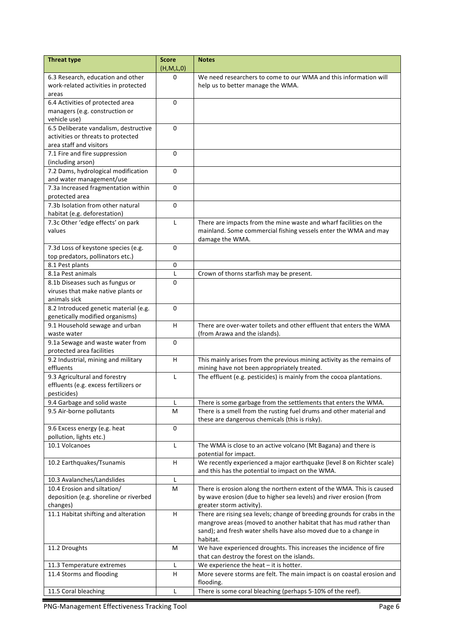| <b>Threat type</b>                             | <b>Score</b>              | <b>Notes</b>                                                                                                                          |  |  |
|------------------------------------------------|---------------------------|---------------------------------------------------------------------------------------------------------------------------------------|--|--|
|                                                | (H,M,L,0)<br>$\Omega$     | We need researchers to come to our WMA and this information will                                                                      |  |  |
| 6.3 Research, education and other              |                           |                                                                                                                                       |  |  |
| work-related activities in protected           |                           | help us to better manage the WMA.                                                                                                     |  |  |
| areas<br>6.4 Activities of protected area      | 0                         |                                                                                                                                       |  |  |
|                                                |                           |                                                                                                                                       |  |  |
| managers (e.g. construction or<br>vehicle use) |                           |                                                                                                                                       |  |  |
| 6.5 Deliberate vandalism, destructive          | 0                         |                                                                                                                                       |  |  |
| activities or threats to protected             |                           |                                                                                                                                       |  |  |
| area staff and visitors                        |                           |                                                                                                                                       |  |  |
| 7.1 Fire and fire suppression                  | 0                         |                                                                                                                                       |  |  |
| (including arson)                              |                           |                                                                                                                                       |  |  |
| 7.2 Dams, hydrological modification            | 0                         |                                                                                                                                       |  |  |
| and water management/use                       |                           |                                                                                                                                       |  |  |
| 7.3a Increased fragmentation within            | $\Omega$                  |                                                                                                                                       |  |  |
| protected area                                 |                           |                                                                                                                                       |  |  |
| 7.3b Isolation from other natural              | $\Omega$                  |                                                                                                                                       |  |  |
| habitat (e.g. deforestation)                   |                           |                                                                                                                                       |  |  |
| 7.3c Other 'edge effects' on park              | L                         | There are impacts from the mine waste and wharf facilities on the                                                                     |  |  |
| values                                         |                           | mainland. Some commercial fishing vessels enter the WMA and may                                                                       |  |  |
|                                                |                           | damage the WMA.                                                                                                                       |  |  |
| 7.3d Loss of keystone species (e.g.            | $\Omega$                  |                                                                                                                                       |  |  |
| top predators, pollinators etc.)               |                           |                                                                                                                                       |  |  |
| 8.1 Pest plants                                | 0                         |                                                                                                                                       |  |  |
| 8.1a Pest animals                              | L                         | Crown of thorns starfish may be present.                                                                                              |  |  |
| 8.1b Diseases such as fungus or                | $\Omega$                  |                                                                                                                                       |  |  |
| viruses that make native plants or             |                           |                                                                                                                                       |  |  |
| animals sick                                   |                           |                                                                                                                                       |  |  |
| 8.2 Introduced genetic material (e.g.          | $\Omega$                  |                                                                                                                                       |  |  |
| genetically modified organisms)                |                           |                                                                                                                                       |  |  |
| 9.1 Household sewage and urban                 | H                         | There are over-water toilets and other effluent that enters the WMA                                                                   |  |  |
| waste water                                    |                           | (from Arawa and the islands).                                                                                                         |  |  |
| 9.1a Sewage and waste water from               | $\Omega$                  |                                                                                                                                       |  |  |
| protected area facilities                      |                           |                                                                                                                                       |  |  |
| 9.2 Industrial, mining and military            | H                         | This mainly arises from the previous mining activity as the remains of                                                                |  |  |
| effluents                                      |                           | mining have not been appropriately treated.                                                                                           |  |  |
| 9.3 Agricultural and forestry                  | L                         | The effluent (e.g. pesticides) is mainly from the cocoa plantations.                                                                  |  |  |
| effluents (e.g. excess fertilizers or          |                           |                                                                                                                                       |  |  |
| pesticides)                                    |                           |                                                                                                                                       |  |  |
| 9.4 Garbage and solid waste                    | L                         | There is some garbage from the settlements that enters the WMA.                                                                       |  |  |
| 9.5 Air-borne pollutants                       | M                         | There is a smell from the rusting fuel drums and other material and                                                                   |  |  |
|                                                |                           | these are dangerous chemicals (this is risky).                                                                                        |  |  |
| 9.6 Excess energy (e.g. heat                   | $\mathbf 0$               |                                                                                                                                       |  |  |
| pollution, lights etc.)                        |                           |                                                                                                                                       |  |  |
| 10.1 Volcanoes                                 | Г                         | The WMA is close to an active volcano (Mt Bagana) and there is                                                                        |  |  |
|                                                |                           | potential for impact.                                                                                                                 |  |  |
| 10.2 Earthquakes/Tsunamis                      | $\boldsymbol{\mathsf{H}}$ | We recently experienced a major earthquake (level 8 on Richter scale)                                                                 |  |  |
|                                                |                           | and this has the potential to impact on the WMA.                                                                                      |  |  |
| 10.3 Avalanches/Landslides                     | L                         |                                                                                                                                       |  |  |
| 10.4 Erosion and siltation/                    | M                         | There is erosion along the northern extent of the WMA. This is caused                                                                 |  |  |
| deposition (e.g. shoreline or riverbed         |                           | by wave erosion (due to higher sea levels) and river erosion (from                                                                    |  |  |
| changes)                                       | H                         | greater storm activity).                                                                                                              |  |  |
| 11.1 Habitat shifting and alteration           |                           | There are rising sea levels; change of breeding grounds for crabs in the                                                              |  |  |
|                                                |                           | mangrove areas (moved to another habitat that has mud rather than<br>sand); and fresh water shells have also moved due to a change in |  |  |
|                                                |                           | habitat.                                                                                                                              |  |  |
| 11.2 Droughts                                  | M                         | We have experienced droughts. This increases the incidence of fire                                                                    |  |  |
|                                                |                           | that can destroy the forest on the islands.                                                                                           |  |  |
| 11.3 Temperature extremes                      | L                         | We experience the heat $-$ it is hotter.                                                                                              |  |  |
| 11.4 Storms and flooding                       | Н                         | More severe storms are felt. The main impact is on coastal erosion and                                                                |  |  |
|                                                |                           | flooding.                                                                                                                             |  |  |
| 11.5 Coral bleaching                           | Г                         | There is some coral bleaching (perhaps 5-10% of the reef).                                                                            |  |  |
|                                                |                           |                                                                                                                                       |  |  |

PNG-Management Effectiveness Tracking Tool **Page 6** Page 6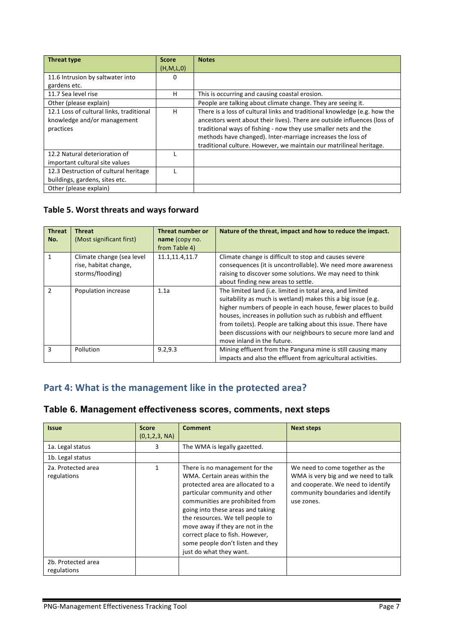| <b>Threat type</b>                       | <b>Score</b> | <b>Notes</b>                                                              |
|------------------------------------------|--------------|---------------------------------------------------------------------------|
|                                          | (H,M,L,0)    |                                                                           |
| 11.6 Intrusion by saltwater into         | 0            |                                                                           |
| gardens etc.                             |              |                                                                           |
| 11.7 Sea level rise                      | H            | This is occurring and causing coastal erosion.                            |
| Other (please explain)                   |              | People are talking about climate change. They are seeing it.              |
| 12.1 Loss of cultural links, traditional | H            | There is a loss of cultural links and traditional knowledge (e.g. how the |
| knowledge and/or management              |              | ancestors went about their lives). There are outside influences (loss of  |
| practices                                |              | traditional ways of fishing - now they use smaller nets and the           |
|                                          |              | methods have changed). Inter-marriage increases the loss of               |
|                                          |              | traditional culture. However, we maintain our matrilineal heritage.       |
| 12.2 Natural deterioration of            |              |                                                                           |
| important cultural site values           |              |                                                                           |
| 12.3 Destruction of cultural heritage    |              |                                                                           |
| buildings, gardens, sites etc.           |              |                                                                           |
| Other (please explain)                   |              |                                                                           |

# Table 5. Worst threats and ways forward

| <b>Threat</b><br>No. | <b>Threat</b><br>(Most significant first)                              | Threat number or<br>name (copy no.<br>from Table 4) | Nature of the threat, impact and how to reduce the impact.                                                                                                                                                                                                                                                                                                                                                                |
|----------------------|------------------------------------------------------------------------|-----------------------------------------------------|---------------------------------------------------------------------------------------------------------------------------------------------------------------------------------------------------------------------------------------------------------------------------------------------------------------------------------------------------------------------------------------------------------------------------|
|                      | Climate change (sea level<br>rise, habitat change,<br>storms/flooding) | 11.1,11.4,11.7                                      | Climate change is difficult to stop and causes severe<br>consequences (it is uncontrollable). We need more awareness<br>raising to discover some solutions. We may need to think<br>about finding new areas to settle.                                                                                                                                                                                                    |
| $\mathfrak{p}$       | Population increase                                                    | 1.1a                                                | The limited land (i.e. limited in total area, and limited<br>suitability as much is wetland) makes this a big issue (e.g.<br>higher numbers of people in each house, fewer places to build<br>houses, increases in pollution such as rubbish and effluent<br>from toilets). People are talking about this issue. There have<br>been discussions with our neighbours to secure more land and<br>move inland in the future. |
| 3                    | <b>Pollution</b>                                                       | 9.2, 9.3                                            | Mining effluent from the Panguna mine is still causing many<br>impacts and also the effluent from agricultural activities.                                                                                                                                                                                                                                                                                                |

# Part 4: What is the management like in the protected area?

| Table 6. Management effectiveness scores, comments, next steps |  |  |  |
|----------------------------------------------------------------|--|--|--|
|----------------------------------------------------------------|--|--|--|

| <b>Issue</b>                      | <b>Score</b><br>(0,1,2,3, NA) | <b>Comment</b>                                                                                                                                                                                                                                                                                                                                                                            | <b>Next steps</b>                                                                                                                                               |
|-----------------------------------|-------------------------------|-------------------------------------------------------------------------------------------------------------------------------------------------------------------------------------------------------------------------------------------------------------------------------------------------------------------------------------------------------------------------------------------|-----------------------------------------------------------------------------------------------------------------------------------------------------------------|
| 1a. Legal status                  | 3                             | The WMA is legally gazetted.                                                                                                                                                                                                                                                                                                                                                              |                                                                                                                                                                 |
| 1b. Legal status                  |                               |                                                                                                                                                                                                                                                                                                                                                                                           |                                                                                                                                                                 |
| 2a. Protected area<br>regulations | $\mathbf{1}$                  | There is no management for the<br>WMA. Certain areas within the<br>protected area are allocated to a<br>particular community and other<br>communities are prohibited from<br>going into these areas and taking<br>the resources. We tell people to<br>move away if they are not in the<br>correct place to fish. However,<br>some people don't listen and they<br>just do what they want. | We need to come together as the<br>WMA is very big and we need to talk<br>and cooperate. We need to identify<br>community boundaries and identify<br>use zones. |
| 2b. Protected area<br>regulations |                               |                                                                                                                                                                                                                                                                                                                                                                                           |                                                                                                                                                                 |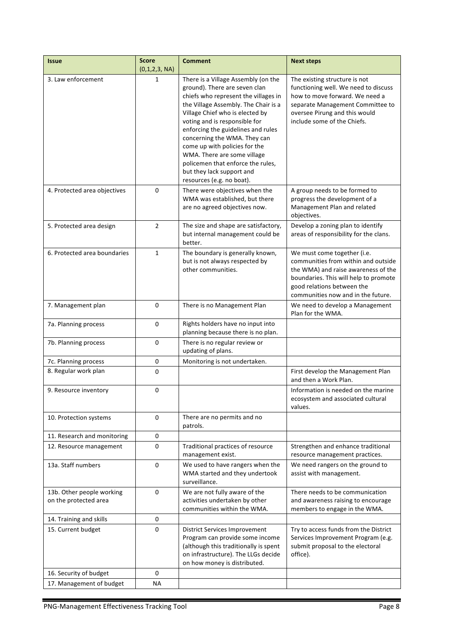| <b>Issue</b>                                       | <b>Score</b><br>(0,1,2,3, NA) | <b>Comment</b>                                                                                                                                                                                                                                                                                                                                                                                                                                                | <b>Next steps</b>                                                                                                                                                                                                      |
|----------------------------------------------------|-------------------------------|---------------------------------------------------------------------------------------------------------------------------------------------------------------------------------------------------------------------------------------------------------------------------------------------------------------------------------------------------------------------------------------------------------------------------------------------------------------|------------------------------------------------------------------------------------------------------------------------------------------------------------------------------------------------------------------------|
| 3. Law enforcement                                 | 1                             | There is a Village Assembly (on the<br>ground). There are seven clan<br>chiefs who represent the villages in<br>the Village Assembly. The Chair is a<br>Village Chief who is elected by<br>voting and is responsible for<br>enforcing the guidelines and rules<br>concerning the WMA. They can<br>come up with policies for the<br>WMA. There are some village<br>policemen that enforce the rules,<br>but they lack support and<br>resources (e.g. no boat). | The existing structure is not<br>functioning well. We need to discuss<br>how to move forward. We need a<br>separate Management Committee to<br>oversee Pirung and this would<br>include some of the Chiefs.            |
| 4. Protected area objectives                       | $\mathbf 0$                   | There were objectives when the<br>WMA was established, but there<br>are no agreed objectives now.                                                                                                                                                                                                                                                                                                                                                             | A group needs to be formed to<br>progress the development of a<br>Management Plan and related<br>objectives.                                                                                                           |
| 5. Protected area design                           | $\overline{2}$                | The size and shape are satisfactory,<br>but internal management could be<br>better.                                                                                                                                                                                                                                                                                                                                                                           | Develop a zoning plan to identify<br>areas of responsibility for the clans.                                                                                                                                            |
| 6. Protected area boundaries                       | $\mathbf{1}$                  | The boundary is generally known,<br>but is not always respected by<br>other communities.                                                                                                                                                                                                                                                                                                                                                                      | We must come together (i.e.<br>communities from within and outside<br>the WMA) and raise awareness of the<br>boundaries. This will help to promote<br>good relations between the<br>communities now and in the future. |
| 7. Management plan                                 | $\mathbf 0$                   | There is no Management Plan                                                                                                                                                                                                                                                                                                                                                                                                                                   | We need to develop a Management<br>Plan for the WMA.                                                                                                                                                                   |
| 7a. Planning process                               | $\Omega$                      | Rights holders have no input into<br>planning because there is no plan.                                                                                                                                                                                                                                                                                                                                                                                       |                                                                                                                                                                                                                        |
| 7b. Planning process                               | $\mathbf 0$                   | There is no regular review or<br>updating of plans.                                                                                                                                                                                                                                                                                                                                                                                                           |                                                                                                                                                                                                                        |
| 7c. Planning process                               | 0                             | Monitoring is not undertaken.                                                                                                                                                                                                                                                                                                                                                                                                                                 |                                                                                                                                                                                                                        |
| 8. Regular work plan                               | $\mathbf 0$                   |                                                                                                                                                                                                                                                                                                                                                                                                                                                               | First develop the Management Plan<br>and then a Work Plan.                                                                                                                                                             |
| 9. Resource inventory                              | 0                             |                                                                                                                                                                                                                                                                                                                                                                                                                                                               | Information is needed on the marine<br>ecosystem and associated cultural<br>values.                                                                                                                                    |
| 10. Protection systems                             | 0                             | There are no permits and no<br>patrols.                                                                                                                                                                                                                                                                                                                                                                                                                       |                                                                                                                                                                                                                        |
| 11. Research and monitoring                        | 0                             |                                                                                                                                                                                                                                                                                                                                                                                                                                                               |                                                                                                                                                                                                                        |
| 12. Resource management                            | $\mathbf 0$                   | Traditional practices of resource<br>management exist.                                                                                                                                                                                                                                                                                                                                                                                                        | Strengthen and enhance traditional<br>resource management practices.                                                                                                                                                   |
| 13a. Staff numbers                                 | 0                             | We used to have rangers when the<br>WMA started and they undertook<br>surveillance.                                                                                                                                                                                                                                                                                                                                                                           | We need rangers on the ground to<br>assist with management.                                                                                                                                                            |
| 13b. Other people working<br>on the protected area | $\mathbf 0$                   | We are not fully aware of the<br>activities undertaken by other<br>communities within the WMA.                                                                                                                                                                                                                                                                                                                                                                | There needs to be communication<br>and awareness raising to encourage<br>members to engage in the WMA.                                                                                                                 |
| 14. Training and skills                            | 0                             |                                                                                                                                                                                                                                                                                                                                                                                                                                                               |                                                                                                                                                                                                                        |
| 15. Current budget                                 | $\mathbf 0$                   | <b>District Services Improvement</b><br>Program can provide some income<br>(although this traditionally is spent<br>on infrastructure). The LLGs decide<br>on how money is distributed.                                                                                                                                                                                                                                                                       | Try to access funds from the District<br>Services Improvement Program (e.g.<br>submit proposal to the electoral<br>office).                                                                                            |
| 16. Security of budget                             | 0                             |                                                                                                                                                                                                                                                                                                                                                                                                                                                               |                                                                                                                                                                                                                        |
| 17. Management of budget                           | NА                            |                                                                                                                                                                                                                                                                                                                                                                                                                                                               |                                                                                                                                                                                                                        |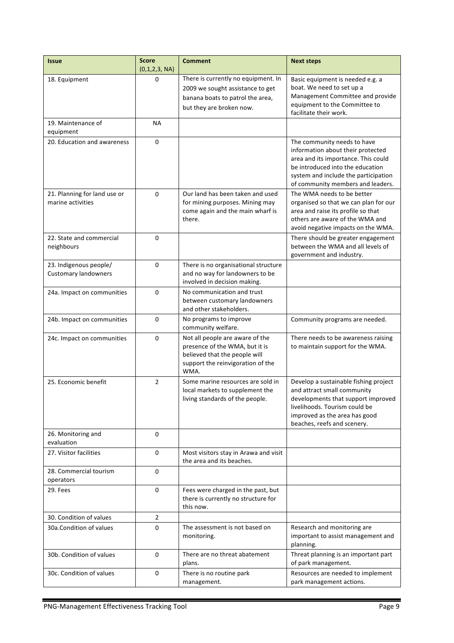| <b>Issue</b>                                          | <b>Score</b><br>(0,1,2,3, NA) | <b>Comment</b>                                                                                                                                  | <b>Next steps</b>                                                                                                                                                                                                        |  |
|-------------------------------------------------------|-------------------------------|-------------------------------------------------------------------------------------------------------------------------------------------------|--------------------------------------------------------------------------------------------------------------------------------------------------------------------------------------------------------------------------|--|
| 18. Equipment                                         | 0                             | There is currently no equipment. In<br>2009 we sought assistance to get<br>banana boats to patrol the area,<br>but they are broken now.         | Basic equipment is needed e.g. a<br>boat. We need to set up a<br>Management Committee and provide<br>equipment to the Committee to<br>facilitate their work.                                                             |  |
| 19. Maintenance of<br>equipment                       | ΝA                            |                                                                                                                                                 |                                                                                                                                                                                                                          |  |
| 20. Education and awareness                           | 0                             |                                                                                                                                                 | The community needs to have<br>information about their protected<br>area and its importance. This could<br>be introduced into the education<br>system and include the participation<br>of community members and leaders. |  |
| 21. Planning for land use or<br>marine activities     | 0                             | Our land has been taken and used<br>for mining purposes. Mining may<br>come again and the main wharf is<br>there.                               | The WMA needs to be better<br>organised so that we can plan for our<br>area and raise its profile so that<br>others are aware of the WMA and<br>avoid negative impacts on the WMA.                                       |  |
| 22. State and commercial<br>neighbours                | 0                             |                                                                                                                                                 | There should be greater engagement<br>between the WMA and all levels of<br>government and industry.                                                                                                                      |  |
| 23. Indigenous people/<br><b>Customary landowners</b> | 0                             | There is no organisational structure<br>and no way for landowners to be<br>involved in decision making.                                         |                                                                                                                                                                                                                          |  |
| 24a. Impact on communities                            | $\Omega$                      | No communication and trust<br>between customary landowners<br>and other stakeholders.                                                           |                                                                                                                                                                                                                          |  |
| 24b. Impact on communities                            | 0                             | No programs to improve<br>community welfare.                                                                                                    | Community programs are needed.                                                                                                                                                                                           |  |
| 24c. Impact on communities                            | $\Omega$                      | Not all people are aware of the<br>presence of the WMA, but it is<br>believed that the people will<br>support the reinvigoration of the<br>WMA. | There needs to be awareness raising<br>to maintain support for the WMA.                                                                                                                                                  |  |
| 25. Economic benefit                                  | $\overline{2}$                | Some marine resources are sold in<br>local markets to supplement the<br>living standards of the people.                                         | Develop a sustainable fishing project<br>and attract small community<br>developments that support improved<br>livelihoods. Tourism could be<br>improved as the area has good<br>beaches, reefs and scenery.              |  |
| 26. Monitoring and<br>evaluation                      | 0                             |                                                                                                                                                 |                                                                                                                                                                                                                          |  |
| 27. Visitor facilities                                | 0                             | Most visitors stay in Arawa and visit<br>the area and its beaches.                                                                              |                                                                                                                                                                                                                          |  |
| 28. Commercial tourism<br>operators                   | $\mathbf 0$                   |                                                                                                                                                 |                                                                                                                                                                                                                          |  |
| 29. Fees                                              | 0                             | Fees were charged in the past, but<br>there is currently no structure for<br>this now.                                                          |                                                                                                                                                                                                                          |  |
| 30. Condition of values                               | $\overline{2}$                |                                                                                                                                                 |                                                                                                                                                                                                                          |  |
| 30a. Condition of values                              | 0                             | The assessment is not based on<br>monitoring.                                                                                                   | Research and monitoring are<br>important to assist management and<br>planning.                                                                                                                                           |  |
| 30b. Condition of values                              | 0                             | There are no threat abatement<br>plans.                                                                                                         | Threat planning is an important part<br>of park management.                                                                                                                                                              |  |
| 30c. Condition of values                              | 0                             | There is no routine park<br>management.                                                                                                         | Resources are needed to implement<br>park management actions.                                                                                                                                                            |  |